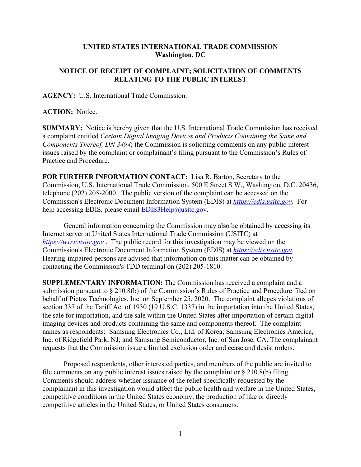## **UNITED STATES INTERNATIONAL TRADE COMMISSION Washington, DC**

## **NOTICE OF RECEIPT OF COMPLAINT; SOLICITATION OF COMMENTS RELATING TO THE PUBLIC INTEREST**

**AGENCY:** U.S. International Trade Commission.

**ACTION:** Notice.

**SUMMARY:** Notice is hereby given that the U.S. International Trade Commission has received a complaint entitled *Certain Digital Imaging Devices and Products Containing the Same and Components Thereof, DN 3494*; the Commission is soliciting comments on any public interest issues raised by the complaint or complainant's filing pursuant to the Commission's Rules of Practice and Procedure.

**FOR FURTHER INFORMATION CONTACT:** Lisa R. Barton, Secretary to the Commission, U.S. International Trade Commission, 500 E Street S.W., Washington, D.C. 20436, telephone (202) 205-2000. The public version of the complaint can be accessed on the Commission's Electronic Document Information System (EDIS) at *[https://edis.usitc.gov](https://edis.usitc.gov/)*. For help accessing EDIS, please email  $EDIS3Help@usite.gov$ .

General information concerning the Commission may also be obtained by accessing its Internet server at United States International Trade Commission (USITC) at *[https://www.usitc.gov](https://www.usitc.gov/)* . The public record for this investigation may be viewed on the Commission's Electronic Document Information System (EDIS) at *[https://edis.usitc.gov.](https://edis.usitc.gov/)* Hearing-impaired persons are advised that information on this matter can be obtained by contacting the Commission's TDD terminal on (202) 205-1810.

**SUPPLEMENTARY INFORMATION:** The Commission has received a complaint and a submission pursuant to § 210.8(b) of the Commission's Rules of Practice and Procedure filed on behalf of Pictos Technologies, Inc. on September 25, 2020. The complaint alleges violations of section 337 of the Tariff Act of 1930 (19 U.S.C. 1337) in the importation into the United States, the sale for importation, and the sale within the United States after importation of certain digital imaging devices and products containing the same and components thereof. The complaint names as respondents: Samsung Electronics Co., Ltd. of Korea; Samsung Electronics America, Inc. of Ridgefield Park, NJ; and Samsung Semiconductor, Inc. of San Jose, CA. The complainant requests that the Commission issue a limited exclusion order and cease and desist orders.

Proposed respondents, other interested parties, and members of the public are invited to file comments on any public interest issues raised by the complaint or  $\S 210.8(b)$  filing. Comments should address whether issuance of the relief specifically requested by the complainant in this investigation would affect the public health and welfare in the United States, competitive conditions in the United States economy, the production of like or directly competitive articles in the United States, or United States consumers.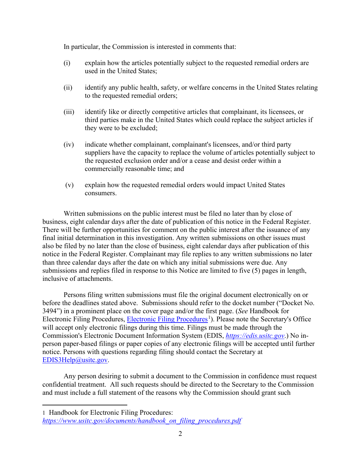In particular, the Commission is interested in comments that:

- (i) explain how the articles potentially subject to the requested remedial orders are used in the United States;
- (ii) identify any public health, safety, or welfare concerns in the United States relating to the requested remedial orders;
- (iii) identify like or directly competitive articles that complainant, its licensees, or third parties make in the United States which could replace the subject articles if they were to be excluded;
- (iv) indicate whether complainant, complainant's licensees, and/or third party suppliers have the capacity to replace the volume of articles potentially subject to the requested exclusion order and/or a cease and desist order within a commercially reasonable time; and
- (v) explain how the requested remedial orders would impact United States consumers.

Written submissions on the public interest must be filed no later than by close of business, eight calendar days after the date of publication of this notice in the Federal Register. There will be further opportunities for comment on the public interest after the issuance of any final initial determination in this investigation. Any written submissions on other issues must also be filed by no later than the close of business, eight calendar days after publication of this notice in the Federal Register. Complainant may file replies to any written submissions no later than three calendar days after the date on which any initial submissions were due. Any submissions and replies filed in response to this Notice are limited to five (5) pages in length, inclusive of attachments.

Persons filing written submissions must file the original document electronically on or before the deadlines stated above. Submissions should refer to the docket number ("Docket No. 3494") in a prominent place on the cover page and/or the first page. (*See* Handbook for Electronic Filing Procedures, [Electronic Filing Procedures](https://www.usitc.gov/documents/handbook_on_filing_procedures.pdf)<sup>[1](#page-1-0)</sup>). Please note the Secretary's Office will accept only electronic filings during this time. Filings must be made through the Commission's Electronic Document Information System (EDIS, *[https://edis.usitc.gov](https://edis.usitc.gov/)*.) No inperson paper-based filings or paper copies of any electronic filings will be accepted until further notice. Persons with questions regarding filing should contact the Secretary at [EDIS3Help@usitc.gov.](mailto:EDIS3Help@usitc.gov)

Any person desiring to submit a document to the Commission in confidence must request confidential treatment. All such requests should be directed to the Secretary to the Commission and must include a full statement of the reasons why the Commission should grant such

<span id="page-1-0"></span><sup>1</sup> Handbook for Electronic Filing Procedures:

*[https://www.usitc.gov/documents/handbook\\_on\\_filing\\_procedures.pdf](https://www.usitc.gov/documents/handbook_on_filing_procedures.pdf)*